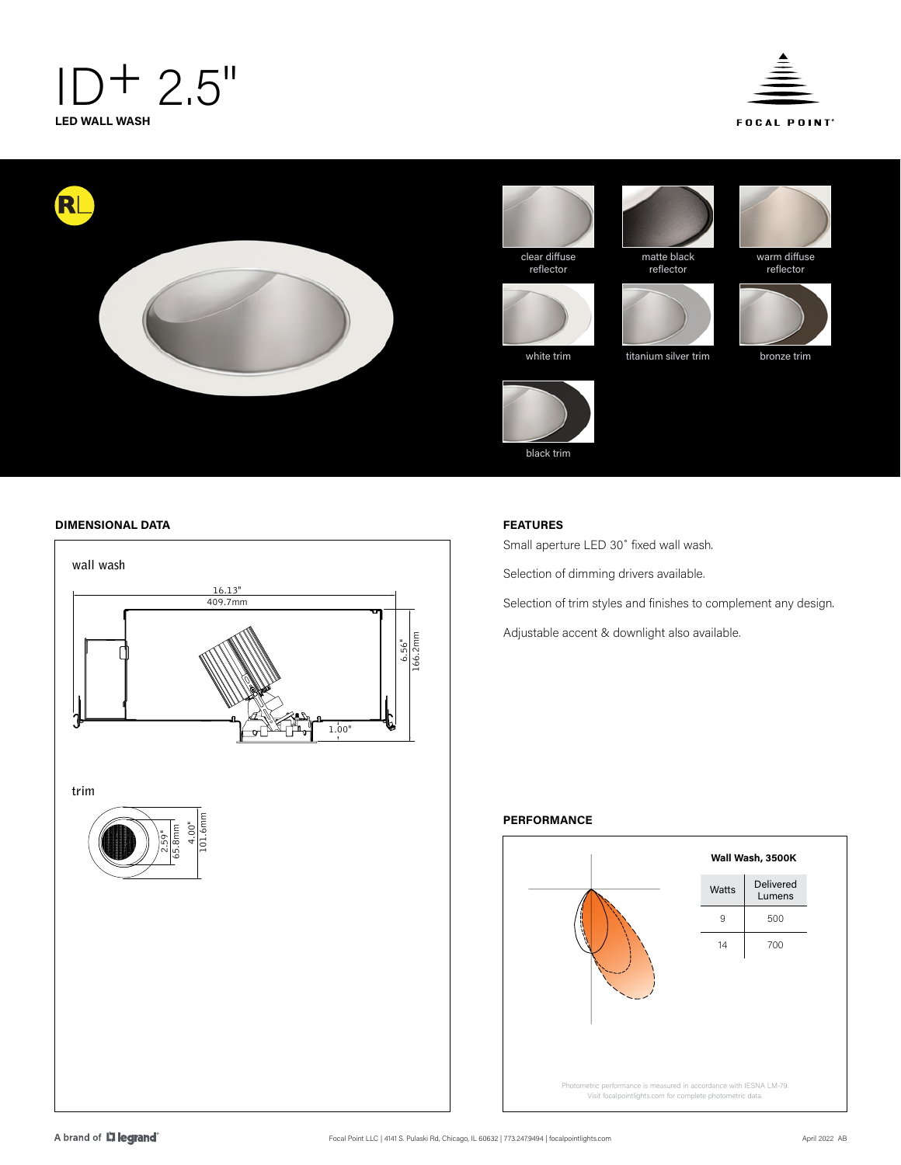











warm diffuse

bronze trim

# **DIMENSIONAL DATA FEATURES**



Small aperture LED 30˚ fixed wall wash.

Selection of dimming drivers available.

Selection of trim styles and finishes to complement any design.

Adjustable accent & downlight also available.

# **PERFORMANCE**